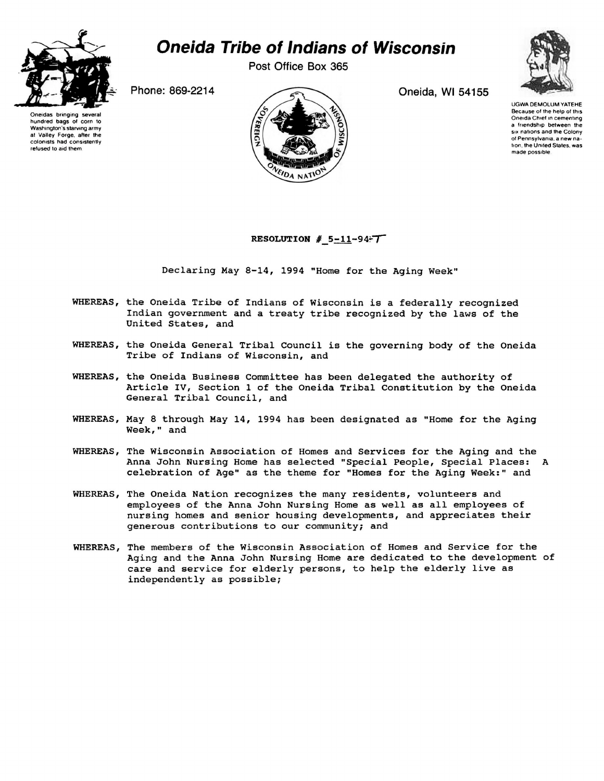

## *Oneida Tribe of Indians of Wisconsin*

**Post Office Box 365** 

Oneidas bringing several hundred bags of corn lo Washington's starving army at Valley Forge, after the colonists had consistently refused to aid them



\ UGWA DEMOLUM YATEHE Because of the help of this Oneida Chief in cementing a friendship between the six nations and the Colony of Pennsylvania, a new na-*Ition*, the United States, was<br>made possible.

## **RESOLUTION #**  $5 - 11 - 94$

Declaring May 8-14, 1994 "Home for the Aging Week"

- WHEREAS, the Oneida Tribe of Indians of Wisconsin is a federally recognized Indian government and a treaty tribe recognized by the laws of the United States, and
- WHEREAS, the Oneida General Tribal Council is the governing body of the Oneida Tribe of Indians of Wisconsin, and
- WHEREAS, the Oneida Business Committee has been delegated the authority of Article IV, Section 1 of the Oneida Tribal Constitution by the Oneida General Tribal Council, and
- WHEREAS, May 8 through May 14, 1994 has been designated as "Home for the Aging Week," and
- WHEREAS, The Wisconsin Association of Homes and Services for the Aging and the Anna John Nursing Home has selected "Special People, Special Places: A celebration of Age" as the theme for "Homes for the Aging Week:" and
- WHEREAS, The Oneida Nation recognizes the many residents, volunteers and employees of the Anna John Nursing Home as well as all employees of nursing homes and senior housing developments, and appreciates their generous contributions to our community; and
- WHEREAS, The members of the Wisconsin Association of Homes and Service for the Aging and the Anna John Nursing Home are dedicated to the development of care and service for elderly persons, to help the elderly live as independently as possible;